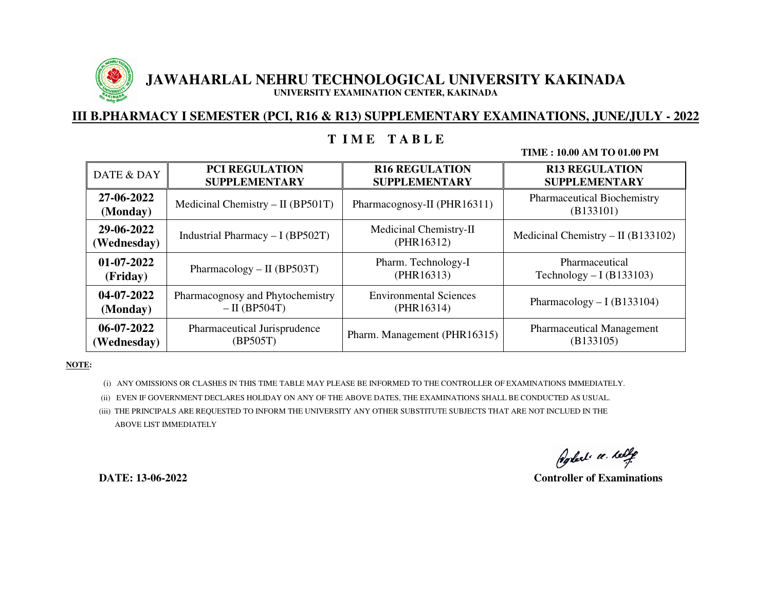

# **JAWAHARLAL NEHRU TECHNOLOGICAL UNIVERSITY KAKINADA UNIVERSITY EXAMINATION CENTER, KAKINADA**

## **III B.PHARMACY I SEMESTER (PCI, R16 & R13) SUPPLEMENTARY EXAMINATIONS, JUNE/JULY - 2022**

### **T I M E T A B L E**

#### **TIME : 10.00 AM TO 01.00 PM**

| DATE & DAY                | <b>PCI REGULATION</b>               | <b>R16 REGULATION</b>                | <b>R13 REGULATION</b>                           |
|---------------------------|-------------------------------------|--------------------------------------|-------------------------------------------------|
|                           | <b>SUPPLEMENTARY</b>                | <b>SUPPLEMENTARY</b>                 | <b>SUPPLEMENTARY</b>                            |
| 27-06-2022<br>(Monday)    | Medicinal Chemistry $-$ II (BP501T) | Pharmacognosy-II (PHR16311)          | <b>Pharmaceutical Biochemistry</b><br>(B133101) |
| 29-06-2022<br>(Wednesday) | Industrial Pharmacy $- I$ (BP502T)  | Medicinal Chemistry-II<br>(PHR16312) | Medicinal Chemistry – II (B133102)              |
| 01-07-2022                | Pharmacology $-$ II (BP503T)        | Pharm. Technology-I                  | Pharmaceutical                                  |
| (Friday)                  |                                     | (PHR16313)                           | Technology $-I$ (B133103)                       |
| 04-07-2022                | Pharmacognosy and Phytochemistry    | <b>Environmental Sciences</b>        | Pharmacology $-I$ (B133104)                     |
| (Monday)                  | $-II$ (BP504T)                      | (PHR16314)                           |                                                 |
| 06-07-2022                | Pharmaceutical Jurisprudence        | Pharm. Management (PHR16315)         | <b>Pharmaceutical Management</b>                |
| (Wednesday)               | (BP505T)                            |                                      | (B133105)                                       |

**NOTE:** 

- (i) ANY OMISSIONS OR CLASHES IN THIS TIME TABLE MAY PLEASE BE INFORMED TO THE CONTROLLER OF EXAMINATIONS IMMEDIATELY.
- (ii) EVEN IF GOVERNMENT DECLARES HOLIDAY ON ANY OF THE ABOVE DATES, THE EXAMINATIONS SHALL BE CONDUCTED AS USUAL.
- (iii) THE PRINCIPALS ARE REQUESTED TO INFORM THE UNIVERSITY ANY OTHER SUBSTITUTE SUBJECTS THAT ARE NOT INCLUED IN THE ABOVE LIST IMMEDIATELY

Poplat a telle

**DATE: 13-06-2022 Controller of Examinations**